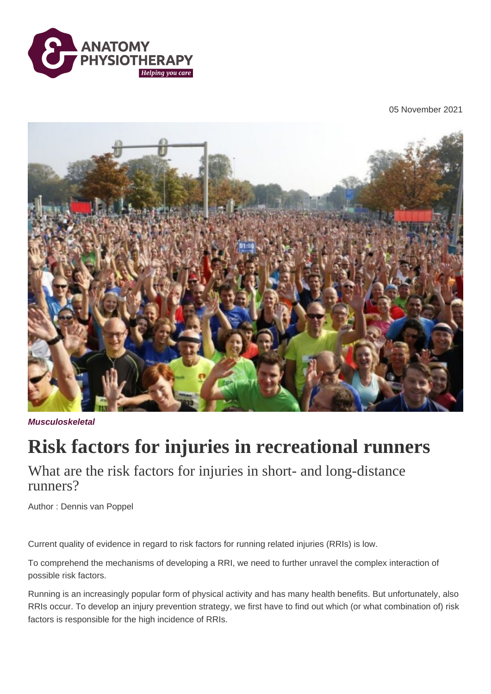

05 November 2021



**Musculoskeletal**

## **Risk factors for injuries in recreational runners**

What are the risk factors for injuries in short- and long-distance runners?

Author : Dennis van Poppel

Current quality of evidence in regard to risk factors for running related injuries (RRIs) is low.

To comprehend the mechanisms of developing a RRI, we need to further unravel the complex interaction of possible risk factors.

Running is an increasingly popular form of physical activity and has many health benefits. But unfortunately, also RRIs occur. To develop an injury prevention strategy, we first have to find out which (or what combination of) risk factors is responsible for the high incidence of RRIs.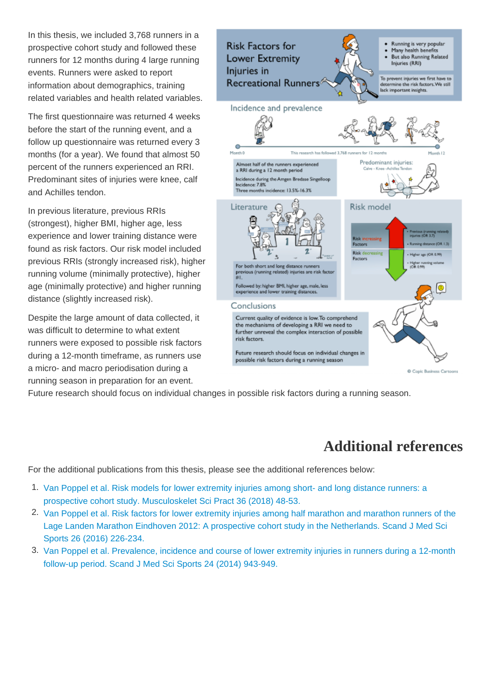In this thesis, we included 3,768 runners in a prospective cohort study and followed these runners for 12 months during 4 large running events. Runners were asked to report information about demographics, training related variables and health related variables.

The first questionnaire was returned 4 weeks before the start of the running event, and a follow up questionnaire was returned every 3 months (for a year). We found that almost 50 percent of the runners experienced an RRI. Predominant sites of injuries were knee, calf and Achilles tendon.

In previous literature, previous RRIs (strongest), higher BMI, higher age, less experience and lower training distance were found as risk factors. Our risk model included previous RRIs (strongly increased risk), higher running volume (minimally protective), higher age (minimally protective) and higher running distance (slightly increased risk).

Despite the large amount of data collected, it was difficult to determine to what extent runners were exposed to possible risk factors during a 12-month timeframe, as runners use a micro- and macro periodisation during a running season in preparation for an event.

Future research should focus on individual changes in possible risk factors during a running season.

## Additional references

For the additional publications from this thesis, please see the additional references below:

- 1. [Van Poppel et al. Risk models for lower extremity injuries among short- and long distance runners: a](https://pubmed.ncbi.nlm.nih.gov/29729546/)  [prospective cohort study. Musculoskelet Sci Pract 36 \(2018\) 48-53.](https://pubmed.ncbi.nlm.nih.gov/29729546/)
- 2. [Van Poppel et al. Risk factors for lower extremity injuries among half marathon and marathon runners of the](https://pubmed.ncbi.nlm.nih.gov/25727692/)  [Lage Landen Marathon Eindhoven 2012: A prospective cohort study in the Netherlands. Scand J Med Sci](https://pubmed.ncbi.nlm.nih.gov/25727692/)  [Sports 26 \(2016\) 226-234.](https://pubmed.ncbi.nlm.nih.gov/25727692/)
- 3. [Van Poppel et al. Prevalence, incidence and course of lower extremity injuries in runners during a 12-month](https://pubmed.ncbi.nlm.nih.gov/23957385/)  [follow-up period. Scand J Med Sci Sports 24 \(2014\) 943-949.](https://pubmed.ncbi.nlm.nih.gov/23957385/)